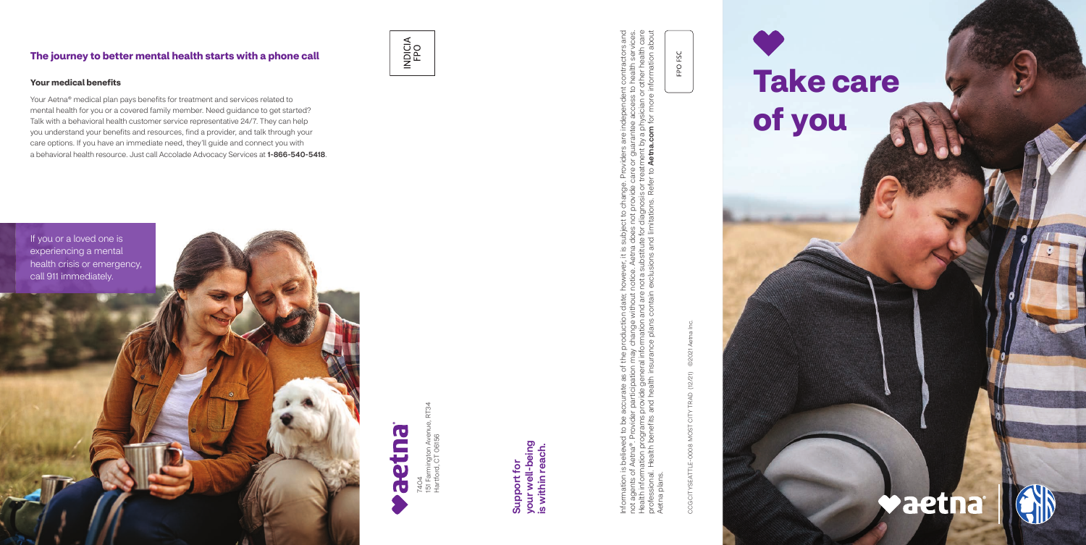7404<br>151 Farmington Aven<br>Hartford, CT 06156 151 Farmington Avenue, RT34 Hartford, CT 06156

Information is believed to be accurate as of the production date; however, it is subject to change. Providers are independent contractors and not agents of Aetna®. Provider participation may change without notice. Aetna does not provide care or guarantee access to health services. Health information programs provide general information and are not a substitute for diagnosis or treatment by a physician or other health care professional. Health benefits and health insurance plans contain exclusions and limitations. Refer to Aetna.com for more information about viders are independent contractors and<br>or guarantee access to health services.<br>ment by a physician or other health care<br>**Aetna.com** for more information about de care or<br>or treatme Joject to change. Provi<br>loes not provide care o<br>a for diagnosis or treatm<br>1 limitations. Refer to **A** e. Aetna do<br>ubstitute f date; howev<br>hout notice<br>d are not a s<br>ntain exclu Information is believed to be accurate as of the production date<br>not agents of Aetna®. Provider participation may change withou<br>Health information programs provide general information and ar<br>professional. Health benefits a Aetna plans. plans Aetna

your well-being<br>is within reach. your well-being is within reach. Support for Support for

CCG CITYSEATTLE-0008 MOST CITY TRAD (12/21) ©2021 Aetna Inc. 02021 CCG CITYSEATTLE-0008 MOST CITY TRAD (12/21)

FPO FSC

## **The journey to better mental health starts with a phone call**







## **Your medical benefits**

Your Aetna® medical plan pays benefits for treatment and services related to mental health for you or a covered family member. Need guidance to get started? Talk with a behavioral health customer service representative 24/7. They can help you understand your benefits and resources, find a provider, and talk through your care options. If you have an immediate need, they'll guide and connect you with a behavioral health resource. Just call Accolade Advocacy Services at 1-866-540-5418.

# **Take care of you**

# **Vaetna**